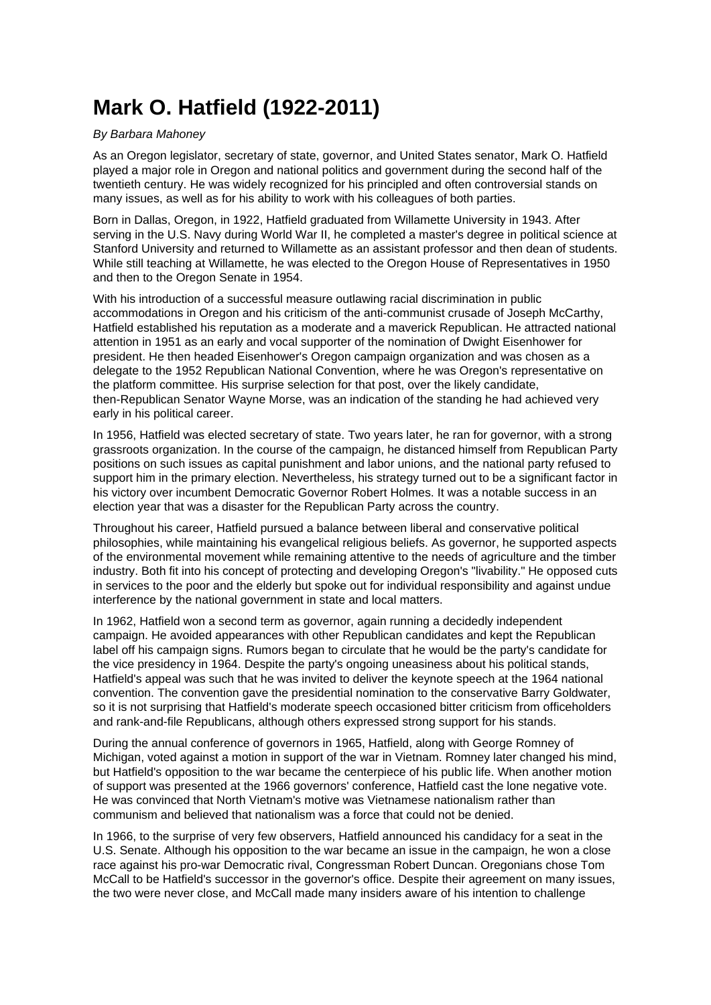## **Mark O. Hatfield (1922-2011)**

## By Barbara Mahoney

As an Oregon legislator, secretary of state, governor, and United States senator, Mark O. Hatfield played a major role in Oregon and national politics and government during the second half of the twentieth century. He was widely recognized for his principled and often controversial stands on many issues, as well as for his ability to work with his colleagues of both parties.

Born in Dallas, Oregon, in 1922, Hatfield graduated from Willamette University in 1943. After serving in the U.S. Navy during World War II, he completed a master's degree in political science at Stanford University and returned to Willamette as an assistant professor and then dean of students. While still teaching at Willamette, he was elected to the Oregon House of Representatives in 1950 and then to the Oregon Senate in 1954.

With his introduction of a successful measure outlawing racial discrimination in public accommodations in Oregon and his criticism of the anti-communist crusade of Joseph McCarthy, Hatfield established his reputation as a moderate and a maverick Republican. He attracted national attention in 1951 as an early and vocal supporter of the nomination of Dwight Eisenhower for president. He then headed Eisenhower's Oregon campaign organization and was chosen as a delegate to the 1952 Republican National Convention, where he was Oregon's representative on the platform committee. His surprise selection for that post, over the likely candidate, then-Republican Senator Wayne Morse, was an indication of the standing he had achieved very early in his political career.

In 1956, Hatfield was elected secretary of state. Two years later, he ran for governor, with a strong grassroots organization. In the course of the campaign, he distanced himself from Republican Party positions on such issues as capital punishment and labor unions, and the national party refused to support him in the primary election. Nevertheless, his strategy turned out to be a significant factor in his victory over incumbent Democratic Governor Robert Holmes. It was a notable success in an election year that was a disaster for the Republican Party across the country.

Throughout his career, Hatfield pursued a balance between liberal and conservative political philosophies, while maintaining his evangelical religious beliefs. As governor, he supported aspects of the environmental movement while remaining attentive to the needs of agriculture and the timber industry. Both fit into his concept of protecting and developing Oregon's "livability." He opposed cuts in services to the poor and the elderly but spoke out for individual responsibility and against undue interference by the national government in state and local matters.

In 1962, Hatfield won a second term as governor, again running a decidedly independent campaign. He avoided appearances with other Republican candidates and kept the Republican label off his campaign signs. Rumors began to circulate that he would be the party's candidate for the vice presidency in 1964. Despite the party's ongoing uneasiness about his political stands, Hatfield's appeal was such that he was invited to deliver the keynote speech at the 1964 national convention. The convention gave the presidential nomination to the conservative Barry Goldwater, so it is not surprising that Hatfield's moderate speech occasioned bitter criticism from officeholders and rank-and-file Republicans, although others expressed strong support for his stands.

During the annual conference of governors in 1965, Hatfield, along with George Romney of Michigan, voted against a motion in support of the war in Vietnam. Romney later changed his mind, but Hatfield's opposition to the war became the centerpiece of his public life. When another motion of support was presented at the 1966 governors' conference, Hatfield cast the lone negative vote. He was convinced that North Vietnam's motive was Vietnamese nationalism rather than communism and believed that nationalism was a force that could not be denied.

In 1966, to the surprise of very few observers, Hatfield announced his candidacy for a seat in the U.S. Senate. Although his opposition to the war became an issue in the campaign, he won a close race against his pro-war Democratic rival, Congressman Robert Duncan. Oregonians chose Tom McCall to be Hatfield's successor in the governor's office. Despite their agreement on many issues, the two were never close, and McCall made many insiders aware of his intention to challenge